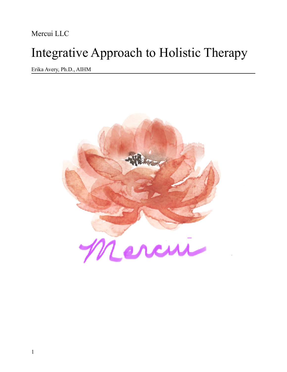Mercui LLC

# Integrative Approach to Holistic Therapy

Erika Avery, Ph.D., AIHM

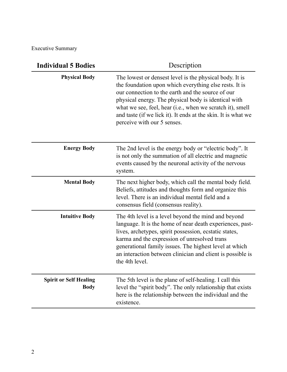Executive Summary

| <b>Individual 5 Bodies</b>                   | Description                                                                                                                                                                                                                                                                                                                                                                                 |
|----------------------------------------------|---------------------------------------------------------------------------------------------------------------------------------------------------------------------------------------------------------------------------------------------------------------------------------------------------------------------------------------------------------------------------------------------|
| <b>Physical Body</b>                         | The lowest or densest level is the physical body. It is<br>the foundation upon which everything else rests. It is<br>our connection to the earth and the source of our<br>physical energy. The physical body is identical with<br>what we see, feel, hear (i.e., when we scratch it), smell<br>and taste (if we lick it). It ends at the skin. It is what we<br>perceive with our 5 senses. |
| <b>Energy Body</b>                           | The 2nd level is the energy body or "electric body". It<br>is not only the summation of all electric and magnetic<br>events caused by the neuronal activity of the nervous<br>system.                                                                                                                                                                                                       |
| <b>Mental Body</b>                           | The next higher body, which call the mental body field.<br>Beliefs, attitudes and thoughts form and organize this<br>level. There is an individual mental field and a<br>consensus field (consensus reality).                                                                                                                                                                               |
| <b>Intuitive Body</b>                        | The 4th level is a level beyond the mind and beyond<br>language. It is the home of near death experiences, past-<br>lives, archetypes, spirit possession, ecstatic states,<br>karma and the expression of unresolved trans<br>generational family issues. The highest level at which<br>an interaction between clinician and client is possible is<br>the 4th level.                        |
| <b>Spirit or Self Healing</b><br><b>Body</b> | The 5th level is the plane of self-healing. I call this<br>level the "spirit body". The only relationship that exists<br>here is the relationship between the individual and the<br>existence.                                                                                                                                                                                              |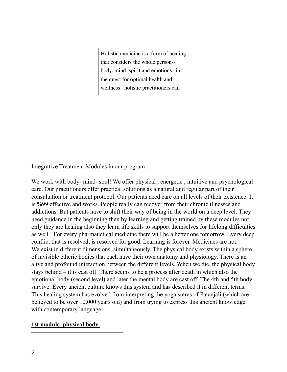Holistic medicine is a form of healing that considers the whole person- body, mind, spirit and emotions--in the quest for optimal health and wellness. holistic practitioners can

Integrative Treatment Modules in our program :

We work with body- mind- soul! We offer physical, energetic, intuitive and psychological care. Our practitioners offer practical solutions as a natural and regular part of their consultation or treatment protocol. Our patients need care on all levels of their existence. It is %99 effective and works. People really can recover from their chronic illnesses and addictions. But patients have to shift their way of being in the world on a deep level. They need guidance in the beginning then by learning and getting trained by these modules not only they are healing also they learn life skills to support themselves for lifelong difficulties as well ! For every pharmauetical medicine there will be a better one tomorrow. Every deep conflict that is resolved, is resolved for good. Learning is forever. Medicines are not. We exist in different dimensions simultaneously. The physical body exists within a sphere of invisible etheric bodies that each have their own anatomy and physiology. There is an alive and profound interaction between the different levels. When we die, the physical body stays behind – it is cast off. There seems to be a process after death in which also the emotional body (second level) and later the mental body are cast off. The 4th and 5th body survive. Every ancient culture knows this system and has described it in different terms. This healing system has evolved from interpreting the yoga sutras of Patanjali (which are believed to be over 10,000 years old) and from trying to express this ancient knowledge with contemporary language.

#### **1st module physical body**

———————————————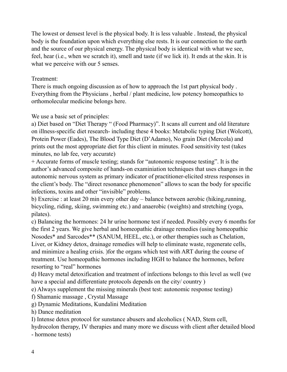The lowest or densest level is the physical body. It is less valuable . Instead, the physical body is the foundation upon which everything else rests. It is our connection to the earth and the source of our physical energy. The physical body is identical with what we see, feel, hear (i.e., when we scratch it), smell and taste (if we lick it). It ends at the skin. It is what we perceive with our 5 senses.

# Treatment:

There is much ongoing discussion as of how to approach the 1st part physical body . Everything from the Physicians , herbal / plant medicine, low potency homeopathics to orthomolecular medicine belongs here.

We use a basic set of principles:

a) Diet based on "Diet Therapy " (Food Pharmacy)". It scans all current and old literature on illness-specific diet research- including these 4 books: Metabolic typing Diet (Wolcott), Protein Power (Eades), The Blood Type Diet (D'Adamo), No grain Diet (Mercola) and prints out the most appropriate diet for this client in minutes. Food sensitivity test (takes minutes, no lab fee, very accurate)

+ Accurate forms of muscle testing; stands for "autonomic response testing". It is the author's advanced composite of hands-on examiniation techniques that uses changes in the autonomic nervous system as primary indicator of practitioner-elicited stress responses in the client's body. The "direct resonance phenomenon" allows to scan the body for specific infections, toxins and other "invisible" problems.

b) Exercise : at least 20 min every other day – balance between aerobic (hiking,running, bicycling, riding, skiing, swimming etc.) and anaerobic (weights) and stretching (yoga, pilates).

c) Balancing the hormones: 24 hr urine hormone test if needed. Possibly every 6 months for the first 2 years. We give herbal and homeopathic drainage remedies (using homeopathic Nosodes\* and Sarcodes\*\* (SANUM, HEEL, etc.), or other therapies such as Chelation, Liver, or Kidney detox, drainage remedies will help to eliminate waste, regenerate cells, and minimize a healing crisis. )for the organs which test with ART during the course of treatment. Use homeopathic hormones including HGH to balance the hormones, before resorting to "real" hormones

d) Heavy metal detoxification and treatment of infections belongs to this level as well (we have a special and differentiate protocols depends on the city/ country )

e) Always supplement the missing minerals (best test: autonomic response testing)

f) Shamanic massage , Crystal Massage

g) Dynamic Meditations, Kundalini Meditation

h) Dance meditation

I) Intense detox protocol for sunstance abusers and alcoholics ( NAD, Stem cell,

hydrocolon therapy, IV therapies and many more we discuss with client after detailed blood

- hormone tests)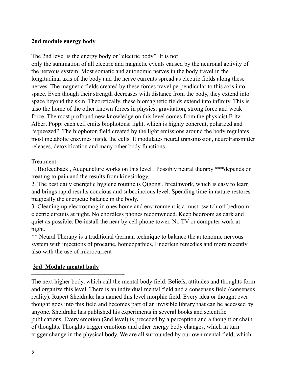### **2nd module energy body**

——————————————

The 2nd level is the energy body or "electric body". It is not only the summation of all electric and magnetic events caused by the neuronal activity of the nervous system. Most somatic and autonomic nerves in the body travel in the longitudinal axis of the body and the nerve currents spread as electric fields along these nerves. The magnetic fields created by these forces travel perpendicular to this axis into space. Even though their strength decreases with distance from the body, they extend into space beyond the skin. Theoretically, these biomagnetic fields extend into infinity. This is also the home of the other known forces in physics: gravitation, strong force and weak force. The most profound new knowledge on this level comes from the physicist Fritz-Albert Popp: each cell emits biophotons: light, which is highly coherent, polarized and "squeezed". The biophoton field created by the light emissions around the body regulates most metabolic enzymes inside the cells. It modulates neural transmission, neurotransmitter releases, detoxification and many other body functions.

# Treatment:

1. Biofeedback , Acupuncture works on this level . Possibly neural therapy \*\*\*depends on treating to pain and the results from kinesiology.

2. The best daily energetic hygiene routine is Qigong , breathwork, which is easy to learn and brings rapid results concious and subcoincious level. Spending time in nature restores magically the energetic balance in the body.

3. Cleaning up electrosmog in ones home and environment is a must: switch off bedroom electric circuits at night. No chordless phones recomwnded. Keep bedroom as dark and quiet as possible. De-install the near by cell phone tower. No TV or computer work at night.

\*\* Neural Therapy is a traditional German technique to balance the autonomic nervous system with injections of procaine, homeopathics, Enderlein remedies and more recently also with the use of microcurrent

# **3rd Module mental body**

———————————————-

The next higher body, which call the mental body field. Beliefs, attitudes and thoughts form and organize this level. There is an individual mental field and a consensus field (consensus reality). Rupert Sheldrake has named this level morphic field. Every idea or thought ever thought goes into this field and becomes part of an invisible library that can be accessed by anyone. Sheldrake has published his experiments in several books and scientific publications. Every emotion (2nd level) is preceded by a perception and a thought or chain of thoughts. Thoughts trigger emotions and other energy body changes, which in turn trigger change in the physical body. We are all surrounded by our own mental field, which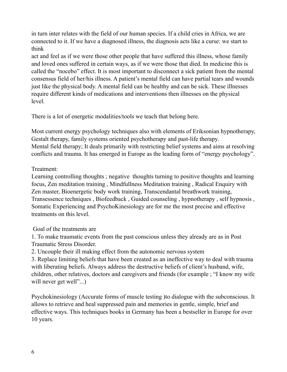in turn inter relates with the field of our human species. If a child cries in Africa, we are connected to it. If we have a diagnosed illness, the diagnosis acts like a curse: we start to think

act and feel as if we were those other people that have suffered this illness, whose family and loved ones suffered in certain ways, as if we were those that died. In medicine this is called the "nocebo" effect. It is most important to disconnect a sick patient from the mental consensus field of her/his illness. A patient's mental field can have partial tears and wounds just like the physical body. A mental field can be healthy and can be sick. These illnesses require different kinds of medications and interventions then illnesses on the physical level.

There is a lot of energetic modalities/tools we teach that belong here.

Most current energy psychology techniques also with elements of Eriksonian hypnotherapy, Gestalt therapy, family systems oriented psychotherapy and past-life therapy. Mental field therapy; It deals primarily with restricting belief systems and aims at resolving conflicts and trauma. It has emerged in Europe as the leading form of "energy psychology".

# Treatment:

Learning controlling thoughts ; negative thoughts turning to positive thoughts and learning focus, Zen meditation training , Mindfullness Meditation training , Radical Enquiry with Zen master, Bioenergetic body work training, Transcendantal breathwork training, Transessence techniques , Biofeedback , Guided counseling , hypnotherapy , self hypnosis , Somatic Experiencing and PsychoKinesiology are for me the most precise and effective treatments on this level.

Goal of the treatments are

1. To make traumatic events from the past conscious unless they already are as in Post Traumatic Stress Disorder.

2. Uncouple their ill making effect from the autonomic nervous system

3. Replace limiting beliefs that have been created as an ineffective way to deal with trauma with liberating beliefs. Always address the destructive beliefs of client's husband, wife, children, other relatives, doctors and caregivers and friends (for example ; "I know my wife will never get well"...)

Psychokinesiology (Accurate forms of muscle testing )to dialogue with the subconscious. It allows to retrieve and heal suppressed pain and memories in gentle, simple, brief and effective ways. This techniques books in Germany has been a bestseller in Europe for over 10 years.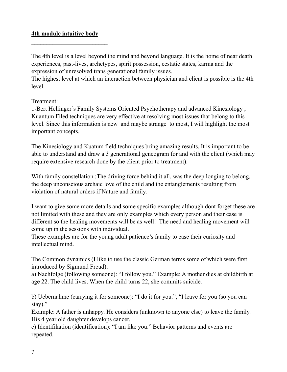#### **4th module intuitive body**

The 4th level is a level beyond the mind and beyond language. It is the home of near death experiences, past-lives, archetypes, spirit possession, ecstatic states, karma and the expression of unresolved trans generational family issues.

The highest level at which an interaction between physician and client is possible is the 4th level.

Treatment:

1-Bert Hellinger's Family Systems Oriented Psychotherapy and advanced Kinesiology , Kuantum Filed techniques are very effective at resolving most issues that belong to this level. Since this information is new and maybe strange to most, I will highlight the most important concepts.

The Kinesiology and Kuatum field techniques bring amazing results. It is important to be able to understand and draw a 3 generational geneogram for and with the client (which may require extensive research done by the client prior to treatment).

With family constellation ; The driving force behind it all, was the deep longing to belong, the deep unconscious archaic love of the child and the entanglements resulting from violation of natural orders if Nature and family.

I want to give some more details and some specific examples although dont forget these are not limited with these and they are only examples which every person and their case is different so the healing movements will be as well! The need and healing movement will come up in the sessions with individual.

These examples are for the young adult patience's family to ease their curiosity and intellectual mind.

The Common dynamics (I like to use the classic German terms some of which were first introduced by Sigmund Freud):

a) Nachfolge (following someone): "I follow you." Example: A mother dies at childbirth at age 22. The child lives. When the child turns 22, she commits suicide.

b) Uebernahme (carrying it for someone): "I do it for you.", "I leave for you (so you can stay)."

Example: A father is unhappy. He considers (unknown to anyone else) to leave the family. His 4 year old daughter develops cancer.

c) Identifikation (identification): "I am like you." Behavior patterns and events are repeated.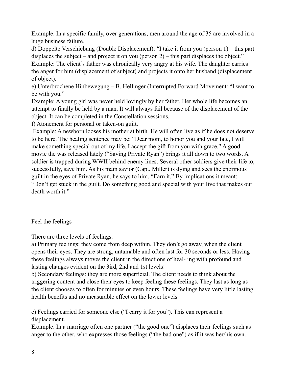Example: In a specific family, over generations, men around the age of 35 are involved in a huge business failure.

d) Doppelte Verschiebung (Double Displacement): "I take it from you (person 1) – this part displaces the subject – and project it on you (person 2) – this part displaces the object." Example: The client's father was chronically very angry at his wife. The daughter carries the anger for him (displacement of subject) and projects it onto her husband (displacement of object).

e) Unterbrochene Hinbewegung – B. Hellinger (Interrupted Forward Movement: "I want to be with you."

Example: A young girl was never held lovingly by her father. Her whole life becomes an attempt to finally be held by a man. It will always fail because of the displacement of the object. It can be completed in the Constellation sessions.

f) Atonement for personal or taken-on guilt.

 Example: A newborn looses his mother at birth. He will often live as if he does not deserve to be here. The healing sentence may be: "Dear mom, to honor you and your fate, I will make something special out of my life. I accept the gift from you with grace." A good movie the was released lately ("Saving Private Ryan") brings it all down to two words. A soldier is trapped during WWII behind enemy lines. Several other soldiers give their life to, successfully, save him. As his main savior (Capt. Miller) is dying and sees the enormous guilt in the eyes of Private Ryan, he says to him, "Earn it." By implications it meant: "Don't get stuck in the guilt. Do something good and special with your live that makes our death worth it."

## Feel the feelings

There are three levels of feelings.

a) Primary feelings: they come from deep within. They don't go away, when the client opens their eyes. They are strong, untamable and often last for 30 seconds or less. Having these feelings always moves the client in the directions of heal- ing with profound and lasting changes evident on the 3ird, 2nd and 1st levels!

b) Secondary feelings: they are more superficial. The client needs to think about the triggering content and close their eyes to keep feeling these feelings. They last as long as the client chooses to often for minutes or even hours. These feelings have very little lasting health benefits and no measurable effect on the lower levels.

c) Feelings carried for someone else ("I carry it for you"). This can represent a displacement.

Example: In a marriage often one partner ("the good one") displaces their feelings such as anger to the other, who expresses those feelings ("the bad one") as if it was her/his own.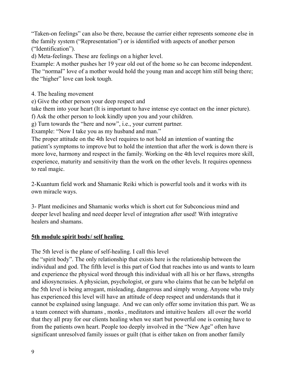"Taken-on feelings" can also be there, because the carrier either represents someone else in the family system ("Representation") or is identified with aspects of another person ("Identification").

d) Meta-feelings. These are feelings on a higher level.

Example: A mother pushes her 19 year old out of the home so he can become independent. The "normal" love of a mother would hold the young man and accept him still being there; the "higher" love can look tough.

4. The healing movement

e) Give the other person your deep respect and

take them into your heart (It is important to have intense eye contact on the inner picture).

f) Ask the other person to look kindly upon you and your children.

g) Turn towards the "here and now", i.e., your current partner.

Example: "Now I take you as my husband and man."

The proper attitude on the 4th level requires to not hold an intention of wanting the patient's symptoms to improve but to hold the intention that after the work is down there is more love, harmony and respect in the family. Working on the 4th level requires more skill, experience, maturity and sensitivity than the work on the other levels. It requires openness to real magic.

2-Kuantum field work and Shamanic Reiki which is powerful tools and it works with its own miracle ways.

3- Plant medicines and Shamanic works which is short cut for Subconcious mind and deeper level healing and need deeper level of integration after used! With integrative healers and shamans.

## **5th module spirit body/ self healing**

The 5th level is the plane of self-healing. I call this level

the "spirit body". The only relationship that exists here is the relationship between the individual and god. The fifth level is this part of God that reaches into us and wants to learn and experience the physical word through this individual with all his or her flaws, strengths and idiosyncrasies. A physician, psychologist, or guru who claims that he can be helpful on the 5th level is being arrogant, misleading, dangerous and simply wrong. Anyone who truly has experienced this level will have an attitude of deep respect and understands that it cannot be explained using language. And we can only offer some invitation this part. We as a team connect with shamans , monks , meditators and intuitive healers all over the world that they all pray for our clients healing when we start but powerful one is coming have to from the patients own heart. People too deeply involved in the "New Age" often have significant unresolved family issues or guilt (that is either taken on from another family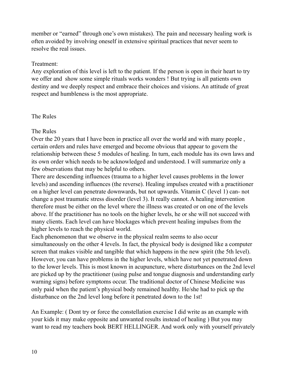member or "earned" through one's own mistakes). The pain and necessary healing work is often avoided by involving oneself in extensive spiritual practices that never seem to resolve the real issues.

#### Treatment:

Any exploration of this level is left to the patient. If the person is open in their heart to try we offer and show some simple rituals works wonders ! But trying is all patients own destiny and we deeply respect and embrace their choices and visions. An attitude of great respect and humbleness is the most appropriate.

## The Rules

## The Rules

Over the 20 years that I have been in practice all over the world and with many people , certain orders and rules have emerged and become obvious that appear to govern the relationship between these 5 modules of healing. In turn, each module has its own laws and its own order which needs to be acknowledged and understood. I will summarize only a few observations that may be helpful to others.

There are descending influences (trauma to a higher level causes problems in the lower levels) and ascending influences (the reverse). Healing impulses created with a practitioner on a higher level can penetrate downwards, but not upwards. Vitamin C (level 1) can- not change a post traumatic stress disorder (level 3). It really cannot. A healing intervention therefore must be either on the level where the illness was created or on one of the levels above. If the practitioner has no tools on the higher levels, he or she will not succeed with many clients. Each level can have blockages which prevent healing impulses from the higher levels to reach the physical world.

Each phenomenon that we observe in the physical realm seems to also occur simultaneously on the other 4 levels. In fact, the physical body is designed like a computer screen that makes visible and tangible that which happens in the new spirit (the 5th level). However, you can have problems in the higher levels, which have not yet penetrated down to the lower levels. This is most known in acupuncture, where disturbances on the 2nd level are picked up by the practitioner (using pulse and tongue diagnosis and understanding early warning signs) before symptoms occur. The traditional doctor of Chinese Medicine was only paid when the patient's physical body remained healthy. He/she had to pick up the disturbance on the 2nd level long before it penetrated down to the 1st!

An Example: ( Dont try or force the constellation exercise I did write as an example with your kids it may make opposite and unwanted results instead of healing ) But you may want to read my teachers book BERT HELLINGER. And work only with yourself privately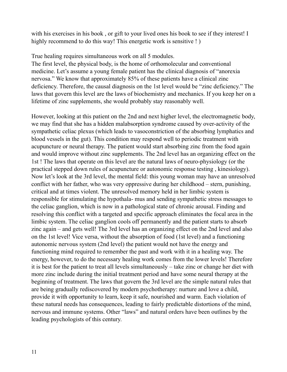with his exercises in his book , or gift to your lived ones his book to see if they interest! I highly recommend to do this way! This energetic work is sensitive ! )

True healing requires simultaneous work on all 5 modules.

The first level, the physical body, is the home of orthomolecular and conventional medicine. Let's assume a young female patient has the clinical diagnosis of "anorexia nervosa." We know that approximately 85% of these patients have a clinical zinc deficiency. Therefore, the causal diagnosis on the 1st level would be "zinc deficiency." The laws that govern this level are the laws of biochemistry and mechanics. If you keep her on a lifetime of zinc supplements, she would probably stay reasonably well.

However, looking at this patient on the 2nd and next higher level, the electromagnetic body, we may find that she has a hidden malabsorption syndrome caused by over-activity of the sympathetic celiac plexus (which leads to vasoconstriction of the absorbing lymphatics and blood vessels in the gut). This condition may respond well to periodic treatment with acupuncture or neural therapy. The patient would start absorbing zinc from the food again and would improve without zinc supplements. The 2nd level has an organizing effect on the 1st ! The laws that operate on this level are the natural laws of neuro-physiology (or the practical stepped down rules of acupuncture or autonomic response testing , kinesiology). Now let's look at the 3rd level, the mental field: this young woman may have an unresolved conflict with her father, who was very oppressive during her childhood – stern, punishing, critical and at times violent. The unresolved memory held in her limbic system is responsible for stimulating the hypothala- mus and sending sympathetic stress messages to the celiac ganglion, which is now in a pathological state of chronic arousal. Finding and resolving this conflict with a targeted and specific approach eliminates the focal area in the limbic system. The celiac ganglion cools off permanently and the patient starts to absorb zinc again – and gets well! The 3rd level has an organizing effect on the 2nd level and also on the 1st level! Vice versa, without the absorption of food (1st level) and a functioning autonomic nervous system (2nd level) the patient would not have the energy and functioning mind required to remember the past and work with it in a healing way. The energy, however, to do the necessary healing work comes from the lower levels! Therefore it is best for the patient to treat all levels simultaneously – take zinc or change her diet with more zinc include during the initial treatment period and have some neural therapy at the beginning of treatment. The laws that govern the 3rd level are the simple natural rules that are being gradually rediscovered by modern psychotherapy: nurture and love a child, provide it with opportunity to learn, keep it safe, nourished and warm. Each violation of these natural needs has consequences, leading to fairly predictable distortions of the mind, nervous and immune systems. Other "laws" and natural orders have been outlines by the leading psychologists of this century.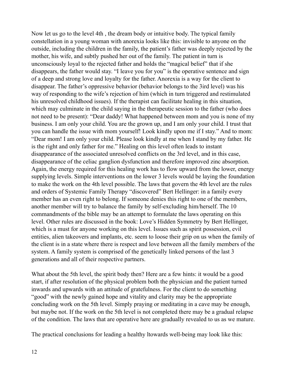Now let us go to the level 4th , the dream body or intuitive body. The typical family constellation in a young woman with anorexia looks like this: invisible to anyone on the outside, including the children in the family, the patient's father was deeply rejected by the mother, his wife, and subtly pushed her out of the family. The patient in turn is unconsciously loyal to the rejected father and holds the "magical belief" that if she disappears, the father would stay. "I leave you for you" is the operative sentence and sign of a deep and strong love and loyalty for the father. Anorexia is a way for the client to disappear. The father's oppressive behavior (behavior belongs to the 3ird level) was his way of responding to the wife's rejection of him (which in turn triggered and restimulated his unresolved childhood issues). If the therapist can facilitate healing in this situation, which may culminate in the child saying in the therapeutic session to the father (who does not need to be present): "Dear daddy! What happened between mom and you is none of my business. I am only your child. You are the grown up, and I am only your child. I trust that you can handle the issue with mom yourself! Look kindly upon me if I stay." And to mom: "Dear mom! I am only your child. Please look kindly at me when I stand by my father. He is the right and only father for me." Healing on this level often leads to instant disappearance of the associated unresolved conflicts on the 3rd level, and in this case, disappearance of the celiac ganglion dysfunction and therefore improved zinc absorption. Again, the energy required for this healing work has to flow upward from the lower, energy supplying levels. Simple interventions on the lower 3 levels would be laying the foundation to make the work on the 4th level possible. The laws that govern the 4th level are the rules and orders of Systemic Family Therapy "discovered" Bert Hellinger: in a family every member has an even right to belong. If someone denies this right to one of the members, another member will try to balance the family by self-excluding him/herself. The 10 commandments of the bible may be an attempt to formulate the laws operating on this level. Other rules are discussed in the book: Love's Hidden Symmetry by Bert Hellinger, which is a must for anyone working on this level. Issues such as spirit possession, evil entities, alien takeovers and implants, etc. seem to loose their grip on us when the family of the client is in a state where there is respect and love between all the family members of the system. A family system is comprised of the genetically linked persons of the last 3 generations and all of their respective partners.

What about the 5th level, the spirit body then? Here are a few hints: it would be a good start, if after resolution of the physical problem both the physician and the patient turned inwards and upwards with an attitude of gratefulness. For the client to do something "good" with the newly gained hope and vitality and clarity may be the appropriate concluding work on the 5th level. Simply praying or meditating in a cave may be enough, but maybe not. If the work on the 5th level is not completed there may be a gradual relapse of the condition. The laws that are operative here are gradually revealed to us as we mature.

The practical conclusions for leading a healthy ltowards well-being may look like this: